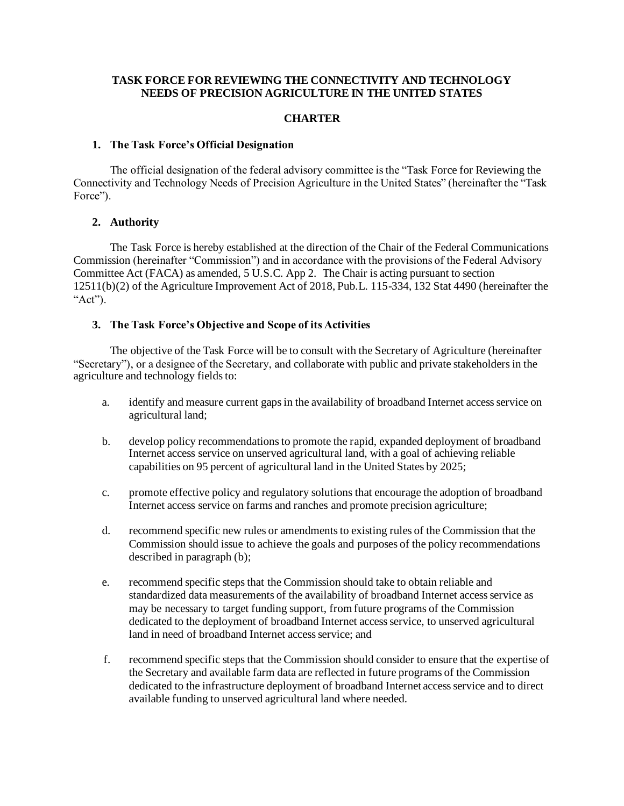### **TASK FORCE FOR REVIEWING THE CONNECTIVITY AND TECHNOLOGY NEEDS OF PRECISION AGRICULTURE IN THE UNITED STATES**

### **CHARTER**

#### **1. The Task Force's Official Designation**

The official designation of the federal advisory committee is the "Task Force for Reviewing the Connectivity and Technology Needs of Precision Agriculture in the United States" (hereinafter the "Task Force").

### **2. Authority**

The Task Force is hereby established at the direction of the Chair of the Federal Communications Commission (hereinafter "Commission") and in accordance with the provisions of the Federal Advisory Committee Act (FACA) as amended, 5 U.S.C. App 2. The Chair is acting pursuant to section 12511(b)(2) of the Agriculture Improvement Act of 2018, Pub.L. 115-334, 132 Stat 4490 (hereinafter the "Act").

## **3. The Task Force's Objective and Scope of its Activities**

The objective of the Task Force will be to consult with the Secretary of Agriculture (hereinafter "Secretary"), or a designee of the Secretary, and collaborate with public and private stakeholders in the agriculture and technology fields to:

- a. identify and measure current gaps in the availability of broadband Internet access service on agricultural land;
- b. develop policy recommendations to promote the rapid, expanded deployment of broadband Internet access service on unserved agricultural land, with a goal of achieving reliable capabilities on 95 percent of agricultural land in the United States by 2025;
- c. promote effective policy and regulatory solutions that encourage the adoption of broadband Internet access service on farms and ranches and promote precision agriculture;
- d. recommend specific new rules or amendments to existing rules of the Commission that the Commission should issue to achieve the goals and purposes of the policy recommendations described in paragraph (b);
- e. recommend specific steps that the Commission should take to obtain reliable and standardized data measurements of the availability of broadband Internet access service as may be necessary to target funding support, from future programs of the Commission dedicated to the deployment of broadband Internet access service, to unserved agricultural land in need of broadband Internet access service; and
- f. recommend specific steps that the Commission should consider to ensure that the expertise of the Secretary and available farm data are reflected in future programs of the Commission dedicated to the infrastructure deployment of broadband Internet access service and to direct available funding to unserved agricultural land where needed.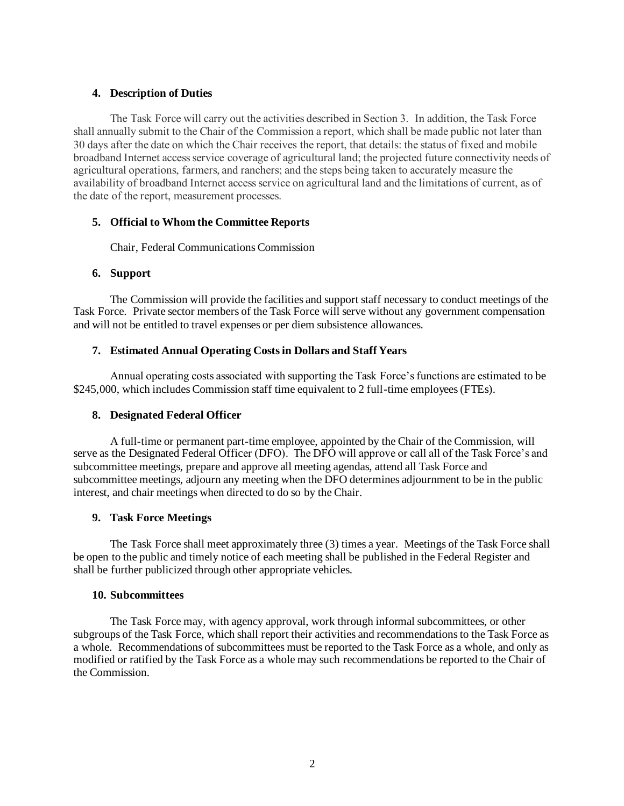## **4. Description of Duties**

The Task Force will carry out the activities described in Section 3. In addition, the Task Force shall annually submit to the Chair of the Commission a report, which shall be made public not later than 30 days after the date on which the Chair receives the report, that details: the status of fixed and mobile broadband Internet access service coverage of agricultural land; the projected future connectivity needs of agricultural operations, farmers, and ranchers; and the steps being taken to accurately measure the availability of broadband Internet access service on agricultural land and the limitations of current, as of the date of the report, measurement processes.

## **5. Official to Whom the Committee Reports**

Chair, Federal Communications Commission

## **6. Support**

The Commission will provide the facilities and support staff necessary to conduct meetings of the Task Force. Private sector members of the Task Force will serve without any government compensation and will not be entitled to travel expenses or per diem subsistence allowances.

## **7. Estimated Annual Operating Costs in Dollars and Staff Years**

Annual operating costs associated with supporting the Task Force's functions are estimated to be \$245,000, which includes Commission staff time equivalent to 2 full-time employees (FTEs).

## **8. Designated Federal Officer**

A full-time or permanent part-time employee, appointed by the Chair of the Commission, will serve as the Designated Federal Officer (DFO). The DFO will approve or call all of the Task Force's and subcommittee meetings, prepare and approve all meeting agendas, attend all Task Force and subcommittee meetings, adjourn any meeting when the DFO determines adjournment to be in the public interest, and chair meetings when directed to do so by the Chair.

## **9. Task Force Meetings**

The Task Force shall meet approximately three (3) times a year. Meetings of the Task Force shall be open to the public and timely notice of each meeting shall be published in the Federal Register and shall be further publicized through other appropriate vehicles.

### **10. Subcommittees**

The Task Force may, with agency approval, work through informal subcommittees, or other subgroups of the Task Force, which shall report their activities and recommendations to the Task Force as a whole. Recommendations of subcommittees must be reported to the Task Force as a whole, and only as modified or ratified by the Task Force as a whole may such recommendations be reported to the Chair of the Commission.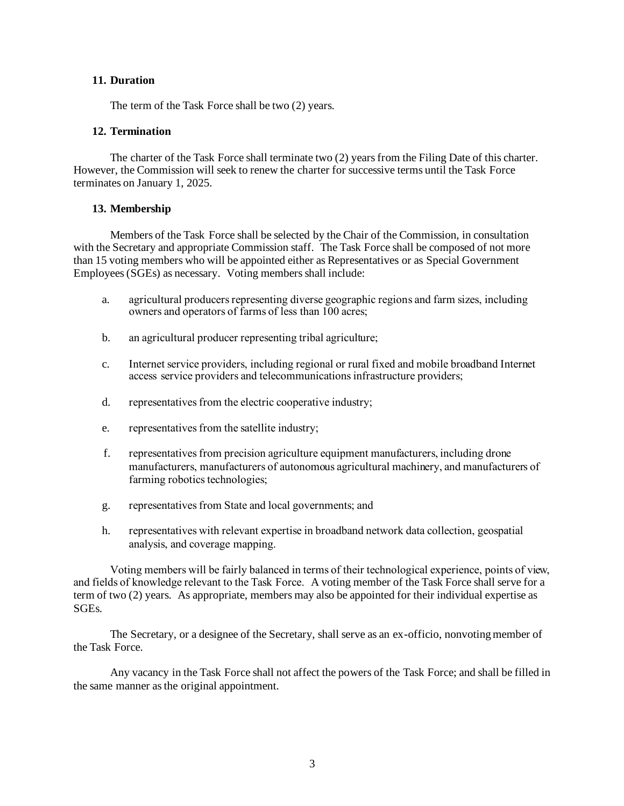### **11. Duration**

The term of the Task Force shall be two (2) years.

### **12. Termination**

The charter of the Task Force shall terminate two (2) years from the Filing Date of this charter. However, the Commission will seek to renew the charter for successive terms until the Task Force terminates on January 1, 2025.

### **13. Membership**

Members of the Task Force shall be selected by the Chair of the Commission, in consultation with the Secretary and appropriate Commission staff. The Task Force shall be composed of not more than 15 voting members who will be appointed either as Representatives or as Special Government Employees (SGEs) as necessary. Voting members shall include:

- a. agricultural producers representing diverse geographic regions and farm sizes, including owners and operators of farms of less than 100 acres;
- b. an agricultural producer representing tribal agriculture;
- c. Internet service providers, including regional or rural fixed and mobile broadband Internet access service providers and telecommunications infrastructure providers;
- d. representatives from the electric cooperative industry;
- e. representatives from the satellite industry;
- f. representatives from precision agriculture equipment manufacturers, including drone manufacturers, manufacturers of autonomous agricultural machinery, and manufacturers of farming robotics technologies;
- g. representatives from State and local governments; and
- h. representatives with relevant expertise in broadband network data collection, geospatial analysis, and coverage mapping.

Voting members will be fairly balanced in terms of their technological experience, points of view, and fields of knowledge relevant to the Task Force. A voting member of the Task Force shall serve for a term of two (2) years. As appropriate, members may also be appointed for their individual expertise as SGEs.

The Secretary, or a designee of the Secretary, shall serve as an ex-officio, nonvoting member of the Task Force.

Any vacancy in the Task Force shall not affect the powers of the Task Force; and shall be filled in the same manner as the original appointment.